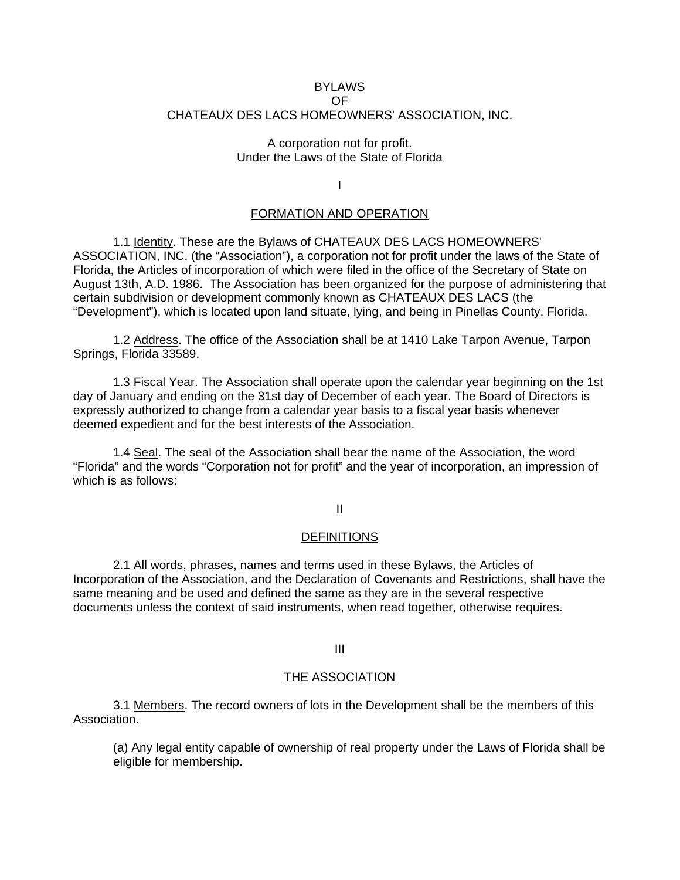#### BYLAWS OF CHATEAUX DES LACS HOMEOWNERS' ASSOCIATION, INC.

## A corporation not for profit. Under the Laws of the State of Florida

I

## FORMATION AND OPERATION

1.1 Identity. These are the Bylaws of CHATEAUX DES LACS HOMEOWNERS' ASSOCIATION, INC. (the "Association"), a corporation not for profit under the laws of the State of Florida, the Articles of incorporation of which were filed in the office of the Secretary of State on August 13th, A.D. 1986. The Association has been organized for the purpose of administering that certain subdivision or development commonly known as CHATEAUX DES LACS (the "Development"), which is located upon land situate, lying, and being in Pinellas County, Florida.

1.2 Address. The office of the Association shall be at 1410 Lake Tarpon Avenue, Tarpon Springs, Florida 33589.

1.3 Fiscal Year. The Association shall operate upon the calendar year beginning on the 1st day of January and ending on the 31st day of December of each year. The Board of Directors is expressly authorized to change from a calendar year basis to a fiscal year basis whenever deemed expedient and for the best interests of the Association.

1.4 Seal. The seal of the Association shall bear the name of the Association, the word "Florida" and the words "Corporation not for profit" and the year of incorporation, an impression of which is as follows:

# II

#### **DEFINITIONS**

2.1 All words, phrases, names and terms used in these Bylaws, the Articles of Incorporation of the Association, and the Declaration of Covenants and Restrictions, shall have the same meaning and be used and defined the same as they are in the several respective documents unless the context of said instruments, when read together, otherwise requires.

## III

#### THE ASSOCIATION

3.1 Members. The record owners of lots in the Development shall be the members of this Association.

(a) Any legal entity capable of ownership of real property under the Laws of Florida shall be eligible for membership.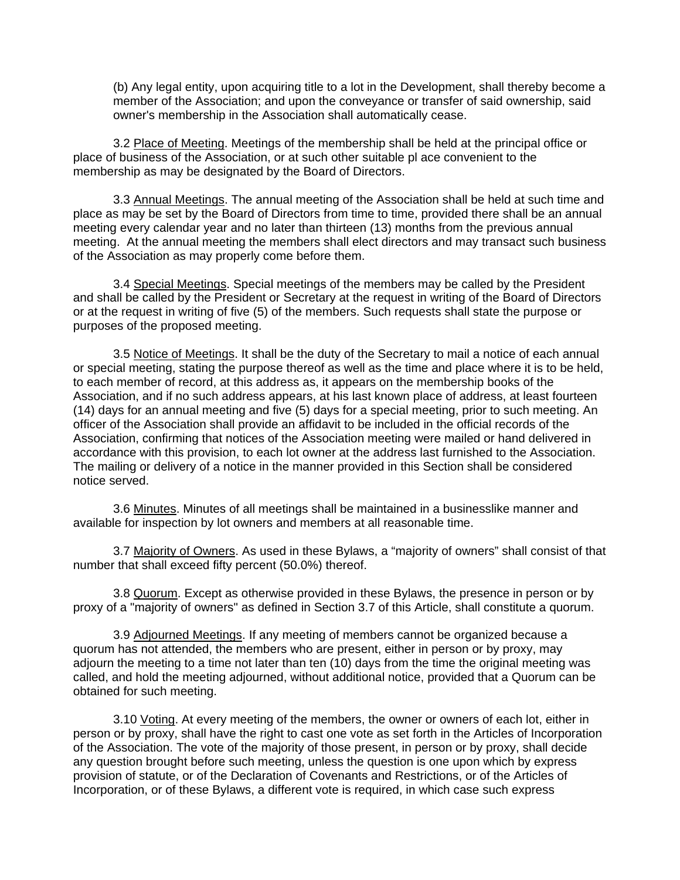(b) Any legal entity, upon acquiring title to a lot in the Development, shall thereby become a member of the Association; and upon the conveyance or transfer of said ownership, said owner's membership in the Association shall automatically cease.

3.2 Place of Meeting. Meetings of the membership shall be held at the principal office or place of business of the Association, or at such other suitable pl ace convenient to the membership as may be designated by the Board of Directors.

3.3 Annual Meetings. The annual meeting of the Association shall be held at such time and place as may be set by the Board of Directors from time to time, provided there shall be an annual meeting every calendar year and no later than thirteen (13) months from the previous annual meeting. At the annual meeting the members shall elect directors and may transact such business of the Association as may properly come before them.

3.4 Special Meetings. Special meetings of the members may be called by the President and shall be called by the President or Secretary at the request in writing of the Board of Directors or at the request in writing of five (5) of the members. Such requests shall state the purpose or purposes of the proposed meeting.

3.5 Notice of Meetings. It shall be the duty of the Secretary to mail a notice of each annual or special meeting, stating the purpose thereof as well as the time and place where it is to be held, to each member of record, at this address as, it appears on the membership books of the Association, and if no such address appears, at his last known place of address, at least fourteen (14) days for an annual meeting and five (5) days for a special meeting, prior to such meeting. An officer of the Association shall provide an affidavit to be included in the official records of the Association, confirming that notices of the Association meeting were mailed or hand delivered in accordance with this provision, to each lot owner at the address last furnished to the Association. The mailing or delivery of a notice in the manner provided in this Section shall be considered notice served.

3.6 Minutes. Minutes of all meetings shall be maintained in a businesslike manner and available for inspection by lot owners and members at all reasonable time.

3.7 Majority of Owners. As used in these Bylaws, a "majority of owners" shall consist of that number that shall exceed fifty percent (50.0%) thereof.

3.8 Quorum. Except as otherwise provided in these Bylaws, the presence in person or by proxy of a "majority of owners" as defined in Section 3.7 of this Article, shall constitute a quorum.

3.9 Adjourned Meetings. If any meeting of members cannot be organized because a quorum has not attended, the members who are present, either in person or by proxy, may adjourn the meeting to a time not later than ten (10) days from the time the original meeting was called, and hold the meeting adjourned, without additional notice, provided that a Quorum can be obtained for such meeting.

3.10 Voting. At every meeting of the members, the owner or owners of each lot, either in person or by proxy, shall have the right to cast one vote as set forth in the Articles of Incorporation of the Association. The vote of the majority of those present, in person or by proxy, shall decide any question brought before such meeting, unless the question is one upon which by express provision of statute, or of the Declaration of Covenants and Restrictions, or of the Articles of Incorporation, or of these Bylaws, a different vote is required, in which case such express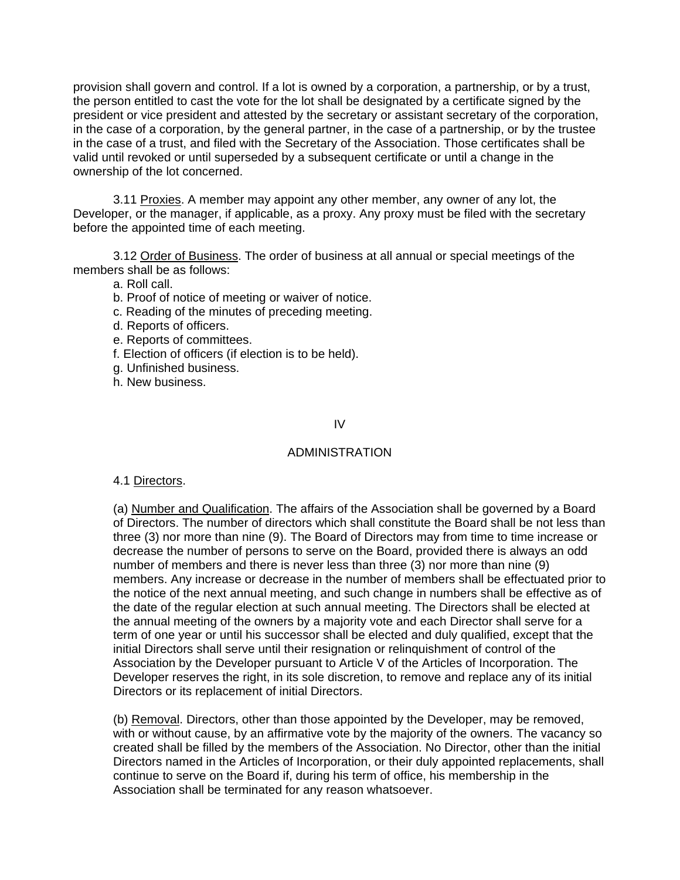provision shall govern and control. If a lot is owned by a corporation, a partnership, or by a trust, the person entitled to cast the vote for the lot shall be designated by a certificate signed by the president or vice president and attested by the secretary or assistant secretary of the corporation, in the case of a corporation, by the general partner, in the case of a partnership, or by the trustee in the case of a trust, and filed with the Secretary of the Association. Those certificates shall be valid until revoked or until superseded by a subsequent certificate or until a change in the ownership of the lot concerned.

3.11 Proxies. A member may appoint any other member, any owner of any lot, the Developer, or the manager, if applicable, as a proxy. Any proxy must be filed with the secretary before the appointed time of each meeting.

3.12 Order of Business. The order of business at all annual or special meetings of the members shall be as follows:

a. Roll call.

b. Proof of notice of meeting or waiver of notice.

- c. Reading of the minutes of preceding meeting.
- d. Reports of officers.
- e. Reports of committees.
- f. Election of officers (if election is to be held).
- g. Unfinished business.
- h. New business.

IV

# ADMINISTRATION

4.1 Directors.

(a) Number and Qualification. The affairs of the Association shall be governed by a Board of Directors. The number of directors which shall constitute the Board shall be not less than three (3) nor more than nine (9). The Board of Directors may from time to time increase or decrease the number of persons to serve on the Board, provided there is always an odd number of members and there is never less than three (3) nor more than nine (9) members. Any increase or decrease in the number of members shall be effectuated prior to the notice of the next annual meeting, and such change in numbers shall be effective as of the date of the regular election at such annual meeting. The Directors shall be elected at the annual meeting of the owners by a majority vote and each Director shall serve for a term of one year or until his successor shall be elected and duly qualified, except that the initial Directors shall serve until their resignation or relinquishment of control of the Association by the Developer pursuant to Article V of the Articles of Incorporation. The Developer reserves the right, in its sole discretion, to remove and replace any of its initial Directors or its replacement of initial Directors.

(b) Removal. Directors, other than those appointed by the Developer, may be removed, with or without cause, by an affirmative vote by the majority of the owners. The vacancy so created shall be filled by the members of the Association. No Director, other than the initial Directors named in the Articles of Incorporation, or their duly appointed replacements, shall continue to serve on the Board if, during his term of office, his membership in the Association shall be terminated for any reason whatsoever.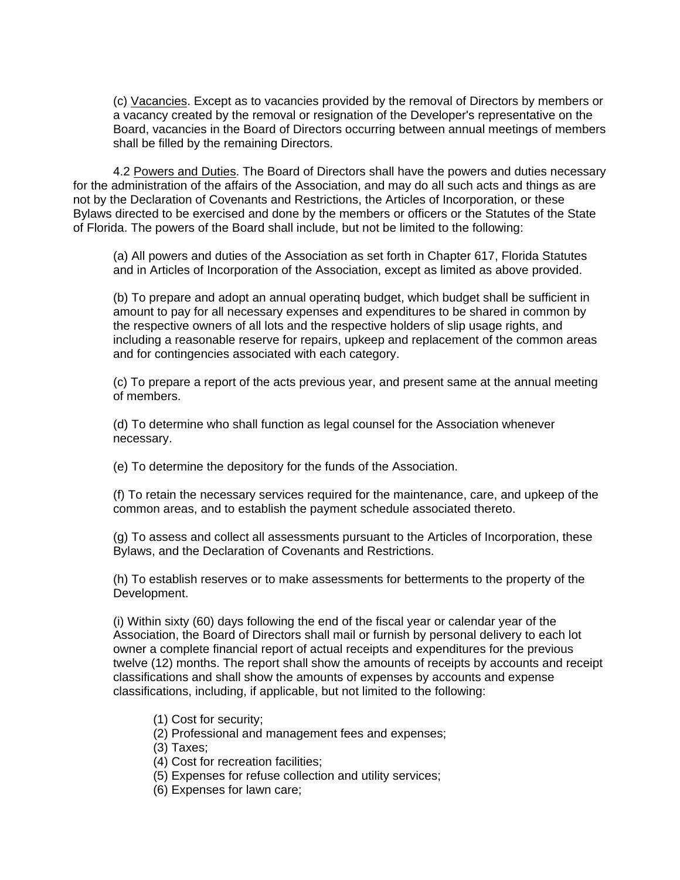(c) Vacancies. Except as to vacancies provided by the removal of Directors by members or a vacancy created by the removal or resignation of the Developer's representative on the Board, vacancies in the Board of Directors occurring between annual meetings of members shall be filled by the remaining Directors.

4.2 Powers and Duties. The Board of Directors shall have the powers and duties necessary for the administration of the affairs of the Association, and may do all such acts and things as are not by the Declaration of Covenants and Restrictions, the Articles of Incorporation, or these Bylaws directed to be exercised and done by the members or officers or the Statutes of the State of Florida. The powers of the Board shall include, but not be limited to the following:

(a) All powers and duties of the Association as set forth in Chapter 617, Florida Statutes and in Articles of Incorporation of the Association, except as limited as above provided.

(b) To prepare and adopt an annual operatinq budget, which budget shall be sufficient in amount to pay for all necessary expenses and expenditures to be shared in common by the respective owners of all lots and the respective holders of slip usage rights, and including a reasonable reserve for repairs, upkeep and replacement of the common areas and for contingencies associated with each category.

(c) To prepare a report of the acts previous year, and present same at the annual meeting of members.

(d) To determine who shall function as legal counsel for the Association whenever necessary.

(e) To determine the depository for the funds of the Association.

(f) To retain the necessary services required for the maintenance, care, and upkeep of the common areas, and to establish the payment schedule associated thereto.

(g) To assess and collect all assessments pursuant to the Articles of Incorporation, these Bylaws, and the Declaration of Covenants and Restrictions.

(h) To establish reserves or to make assessments for betterments to the property of the Development.

(i) Within sixty (60) days following the end of the fiscal year or calendar year of the Association, the Board of Directors shall mail or furnish by personal delivery to each lot owner a complete financial report of actual receipts and expenditures for the previous twelve (12) months. The report shall show the amounts of receipts by accounts and receipt classifications and shall show the amounts of expenses by accounts and expense classifications, including, if applicable, but not limited to the following:

(1) Cost for security;

(2) Professional and management fees and expenses;

(3) Taxes;

(4) Cost for recreation facilities;

(5) Expenses for refuse collection and utility services;

(6) Expenses for lawn care;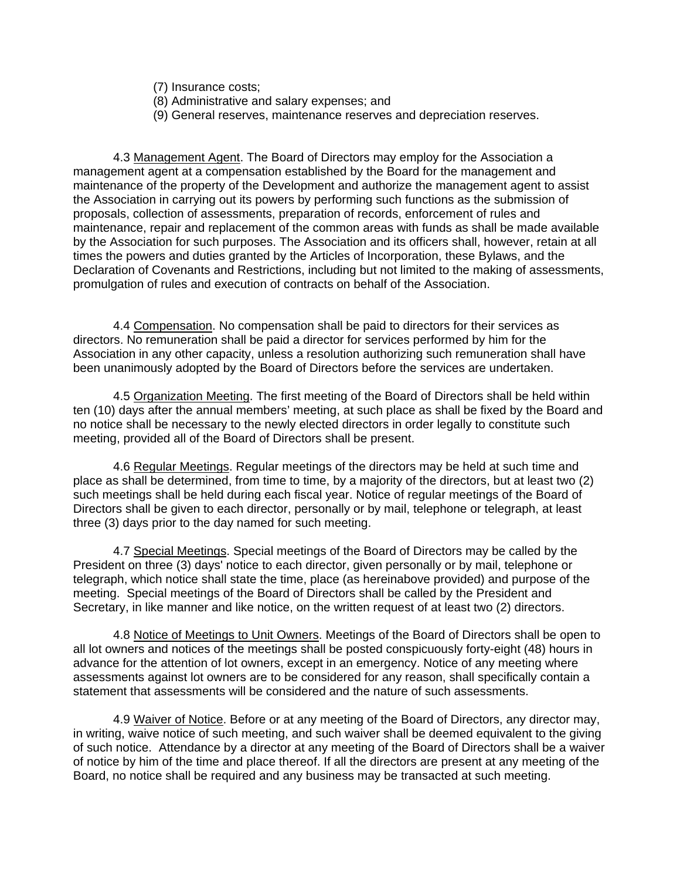- (7) Insurance costs;
- (8) Administrative and salary expenses; and
- (9) General reserves, maintenance reserves and depreciation reserves.

4.3 Management Agent. The Board of Directors may employ for the Association a management agent at a compensation established by the Board for the management and maintenance of the property of the Development and authorize the management agent to assist the Association in carrying out its powers by performing such functions as the submission of proposals, collection of assessments, preparation of records, enforcement of rules and maintenance, repair and replacement of the common areas with funds as shall be made available by the Association for such purposes. The Association and its officers shall, however, retain at all times the powers and duties granted by the Articles of Incorporation, these Bylaws, and the Declaration of Covenants and Restrictions, including but not limited to the making of assessments, promulgation of rules and execution of contracts on behalf of the Association.

4.4 Compensation. No compensation shall be paid to directors for their services as directors. No remuneration shall be paid a director for services performed by him for the Association in any other capacity, unless a resolution authorizing such remuneration shall have been unanimously adopted by the Board of Directors before the services are undertaken.

4.5 Organization Meeting. The first meeting of the Board of Directors shall be held within ten (10) days after the annual members' meeting, at such place as shall be fixed by the Board and no notice shall be necessary to the newly elected directors in order legally to constitute such meeting, provided all of the Board of Directors shall be present.

4.6 Regular Meetings. Regular meetings of the directors may be held at such time and place as shall be determined, from time to time, by a majority of the directors, but at least two (2) such meetings shall be held during each fiscal year. Notice of regular meetings of the Board of Directors shall be given to each director, personally or by mail, telephone or telegraph, at least three (3) days prior to the day named for such meeting.

4.7 Special Meetings. Special meetings of the Board of Directors may be called by the President on three (3) days' notice to each director, given personally or by mail, telephone or telegraph, which notice shall state the time, place (as hereinabove provided) and purpose of the meeting. Special meetings of the Board of Directors shall be called by the President and Secretary, in like manner and like notice, on the written request of at least two (2) directors.

4.8 Notice of Meetings to Unit Owners. Meetings of the Board of Directors shall be open to all lot owners and notices of the meetings shall be posted conspicuously forty-eight (48) hours in advance for the attention of lot owners, except in an emergency. Notice of any meeting where assessments against lot owners are to be considered for any reason, shall specifically contain a statement that assessments will be considered and the nature of such assessments.

4.9 Waiver of Notice. Before or at any meeting of the Board of Directors, any director may, in writing, waive notice of such meeting, and such waiver shall be deemed equivalent to the giving of such notice. Attendance by a director at any meeting of the Board of Directors shall be a waiver of notice by him of the time and place thereof. If all the directors are present at any meeting of the Board, no notice shall be required and any business may be transacted at such meeting.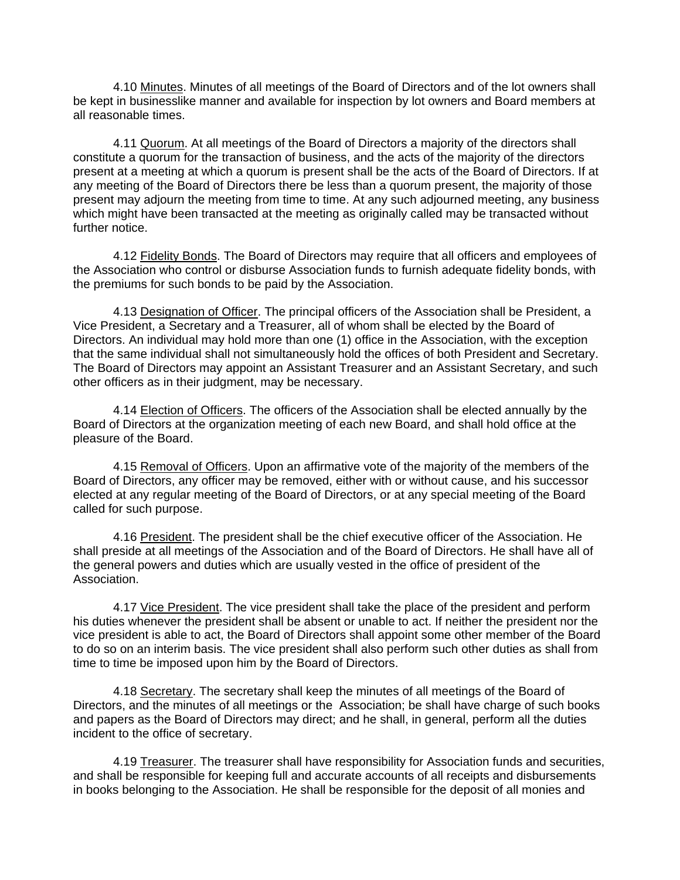4.10 Minutes. Minutes of all meetings of the Board of Directors and of the lot owners shall be kept in businesslike manner and available for inspection by lot owners and Board members at all reasonable times.

4.11 Quorum. At all meetings of the Board of Directors a majority of the directors shall constitute a quorum for the transaction of business, and the acts of the majority of the directors present at a meeting at which a quorum is present shall be the acts of the Board of Directors. If at any meeting of the Board of Directors there be less than a quorum present, the majority of those present may adjourn the meeting from time to time. At any such adjourned meeting, any business which might have been transacted at the meeting as originally called may be transacted without further notice.

4.12 Fidelity Bonds. The Board of Directors may require that all officers and employees of the Association who control or disburse Association funds to furnish adequate fidelity bonds, with the premiums for such bonds to be paid by the Association.

4.13 Designation of Officer. The principal officers of the Association shall be President, a Vice President, a Secretary and a Treasurer, all of whom shall be elected by the Board of Directors. An individual may hold more than one (1) office in the Association, with the exception that the same individual shall not simultaneously hold the offices of both President and Secretary. The Board of Directors may appoint an Assistant Treasurer and an Assistant Secretary, and such other officers as in their judgment, may be necessary.

4.14 Election of Officers. The officers of the Association shall be elected annually by the Board of Directors at the organization meeting of each new Board, and shall hold office at the pleasure of the Board.

4.15 Removal of Officers. Upon an affirmative vote of the majority of the members of the Board of Directors, any officer may be removed, either with or without cause, and his successor elected at any regular meeting of the Board of Directors, or at any special meeting of the Board called for such purpose.

4.16 President. The president shall be the chief executive officer of the Association. He shall preside at all meetings of the Association and of the Board of Directors. He shall have all of the general powers and duties which are usually vested in the office of president of the Association.

4.17 Vice President. The vice president shall take the place of the president and perform his duties whenever the president shall be absent or unable to act. If neither the president nor the vice president is able to act, the Board of Directors shall appoint some other member of the Board to do so on an interim basis. The vice president shall also perform such other duties as shall from time to time be imposed upon him by the Board of Directors.

4.18 Secretary. The secretary shall keep the minutes of all meetings of the Board of Directors, and the minutes of all meetings or the Association; be shall have charge of such books and papers as the Board of Directors may direct; and he shall, in general, perform all the duties incident to the office of secretary.

4.19 Treasurer. The treasurer shall have responsibility for Association funds and securities, and shall be responsible for keeping full and accurate accounts of all receipts and disbursements in books belonging to the Association. He shall be responsible for the deposit of all monies and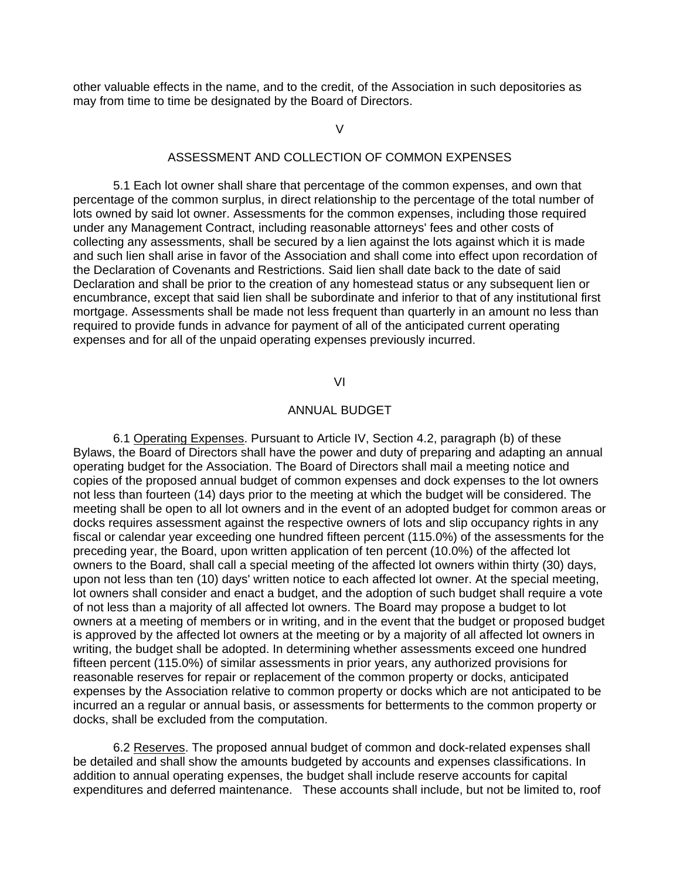other valuable effects in the name, and to the credit, of the Association in such depositories as may from time to time be designated by the Board of Directors.

 $\overline{V}$ 

## ASSESSMENT AND COLLECTION OF COMMON EXPENSES

5.1 Each lot owner shall share that percentage of the common expenses, and own that percentage of the common surplus, in direct relationship to the percentage of the total number of lots owned by said lot owner. Assessments for the common expenses, including those required under any Management Contract, including reasonable attorneys' fees and other costs of collecting any assessments, shall be secured by a lien against the lots against which it is made and such lien shall arise in favor of the Association and shall come into effect upon recordation of the Declaration of Covenants and Restrictions. Said lien shall date back to the date of said Declaration and shall be prior to the creation of any homestead status or any subsequent lien or encumbrance, except that said lien shall be subordinate and inferior to that of any institutional first mortgage. Assessments shall be made not less frequent than quarterly in an amount no less than required to provide funds in advance for payment of all of the anticipated current operating expenses and for all of the unpaid operating expenses previously incurred.

#### VI

# ANNUAL BUDGET

6.1 Operating Expenses. Pursuant to Article IV, Section 4.2, paragraph (b) of these Bylaws, the Board of Directors shall have the power and duty of preparing and adapting an annual operating budget for the Association. The Board of Directors shall mail a meeting notice and copies of the proposed annual budget of common expenses and dock expenses to the lot owners not less than fourteen (14) days prior to the meeting at which the budget will be considered. The meeting shall be open to all lot owners and in the event of an adopted budget for common areas or docks requires assessment against the respective owners of lots and slip occupancy rights in any fiscal or calendar year exceeding one hundred fifteen percent (115.0%) of the assessments for the preceding year, the Board, upon written application of ten percent (10.0%) of the affected lot owners to the Board, shall call a special meeting of the affected lot owners within thirty (30) days, upon not less than ten (10) days' written notice to each affected lot owner. At the special meeting, lot owners shall consider and enact a budget, and the adoption of such budget shall require a vote of not less than a majority of all affected lot owners. The Board may propose a budget to lot owners at a meeting of members or in writing, and in the event that the budget or proposed budget is approved by the affected lot owners at the meeting or by a majority of all affected lot owners in writing, the budget shall be adopted. In determining whether assessments exceed one hundred fifteen percent (115.0%) of similar assessments in prior years, any authorized provisions for reasonable reserves for repair or replacement of the common property or docks, anticipated expenses by the Association relative to common property or docks which are not anticipated to be incurred an a regular or annual basis, or assessments for betterments to the common property or docks, shall be excluded from the computation.

6.2 Reserves. The proposed annual budget of common and dock-related expenses shall be detailed and shall show the amounts budgeted by accounts and expenses classifications. In addition to annual operating expenses, the budget shall include reserve accounts for capital expenditures and deferred maintenance. These accounts shall include, but not be limited to, roof